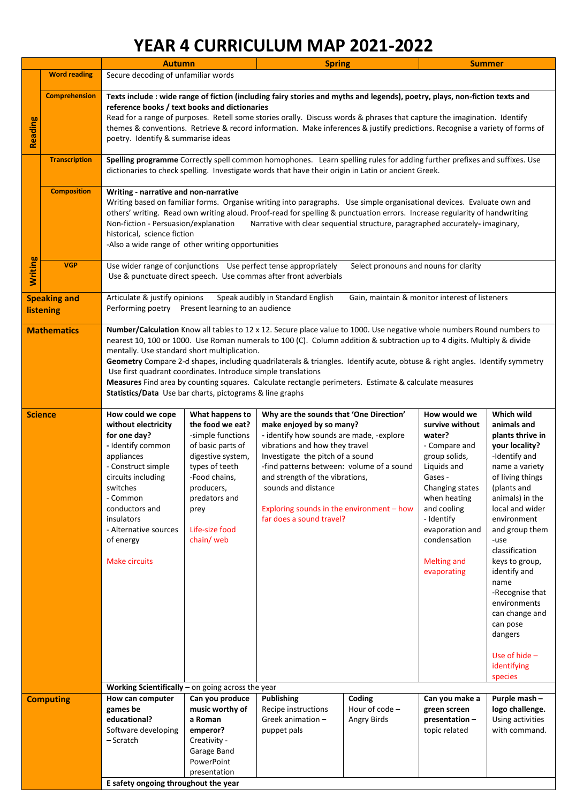## **YEAR 4 CURRICULUM MAP 2021-2022**

|                                  |                                                                                                                                                                                            | <b>Autumn</b>                                                                                                                                                                                                                                                                                                                                                                                                                                                                                                                                                                                                                                                          |                                                                                                                                                                                                             | <b>Spring</b>                                                                                                                                                                                                                                                                                                                                                         |                |                                                                                                                                                                                                                                               | <b>Summer</b>                                                                                                                                                                                                                                                                                                                                                                                  |  |  |
|----------------------------------|--------------------------------------------------------------------------------------------------------------------------------------------------------------------------------------------|------------------------------------------------------------------------------------------------------------------------------------------------------------------------------------------------------------------------------------------------------------------------------------------------------------------------------------------------------------------------------------------------------------------------------------------------------------------------------------------------------------------------------------------------------------------------------------------------------------------------------------------------------------------------|-------------------------------------------------------------------------------------------------------------------------------------------------------------------------------------------------------------|-----------------------------------------------------------------------------------------------------------------------------------------------------------------------------------------------------------------------------------------------------------------------------------------------------------------------------------------------------------------------|----------------|-----------------------------------------------------------------------------------------------------------------------------------------------------------------------------------------------------------------------------------------------|------------------------------------------------------------------------------------------------------------------------------------------------------------------------------------------------------------------------------------------------------------------------------------------------------------------------------------------------------------------------------------------------|--|--|
|                                  | <b>Word reading</b>                                                                                                                                                                        | Secure decoding of unfamiliar words                                                                                                                                                                                                                                                                                                                                                                                                                                                                                                                                                                                                                                    |                                                                                                                                                                                                             |                                                                                                                                                                                                                                                                                                                                                                       |                |                                                                                                                                                                                                                                               |                                                                                                                                                                                                                                                                                                                                                                                                |  |  |
|                                  |                                                                                                                                                                                            |                                                                                                                                                                                                                                                                                                                                                                                                                                                                                                                                                                                                                                                                        |                                                                                                                                                                                                             |                                                                                                                                                                                                                                                                                                                                                                       |                |                                                                                                                                                                                                                                               |                                                                                                                                                                                                                                                                                                                                                                                                |  |  |
| <b>Reading</b>                   | <b>Comprehension</b>                                                                                                                                                                       | Texts include : wide range of fiction (including fairy stories and myths and legends), poetry, plays, non-fiction texts and<br>reference books / text books and dictionaries<br>Read for a range of purposes. Retell some stories orally. Discuss words & phrases that capture the imagination. Identify<br>themes & conventions. Retrieve & record information. Make inferences & justify predictions. Recognise a variety of forms of<br>poetry. Identify & summarise ideas                                                                                                                                                                                          |                                                                                                                                                                                                             |                                                                                                                                                                                                                                                                                                                                                                       |                |                                                                                                                                                                                                                                               |                                                                                                                                                                                                                                                                                                                                                                                                |  |  |
|                                  | <b>Transcription</b>                                                                                                                                                                       | Spelling programme Correctly spell common homophones. Learn spelling rules for adding further prefixes and suffixes. Use<br>dictionaries to check spelling. Investigate words that have their origin in Latin or ancient Greek.                                                                                                                                                                                                                                                                                                                                                                                                                                        |                                                                                                                                                                                                             |                                                                                                                                                                                                                                                                                                                                                                       |                |                                                                                                                                                                                                                                               |                                                                                                                                                                                                                                                                                                                                                                                                |  |  |
|                                  | <b>Composition</b>                                                                                                                                                                         | Writing - narrative and non-narrative<br>Writing based on familiar forms. Organise writing into paragraphs. Use simple organisational devices. Evaluate own and<br>others' writing. Read own writing aloud. Proof-read for spelling & punctuation errors. Increase regularity of handwriting<br>Non-fiction - Persuasion/explanation<br>Narrative with clear sequential structure, paragraphed accurately-imaginary,<br>historical, science fiction<br>-Also a wide range of other writing opportunities                                                                                                                                                               |                                                                                                                                                                                                             |                                                                                                                                                                                                                                                                                                                                                                       |                |                                                                                                                                                                                                                                               |                                                                                                                                                                                                                                                                                                                                                                                                |  |  |
| <b>Writing</b>                   | <b>VGP</b><br>Use wider range of conjunctions Use perfect tense appropriately<br>Select pronouns and nouns for clarity<br>Use & punctuate direct speech. Use commas after front adverbials |                                                                                                                                                                                                                                                                                                                                                                                                                                                                                                                                                                                                                                                                        |                                                                                                                                                                                                             |                                                                                                                                                                                                                                                                                                                                                                       |                |                                                                                                                                                                                                                                               |                                                                                                                                                                                                                                                                                                                                                                                                |  |  |
| <b>Speaking and</b><br>listening |                                                                                                                                                                                            | Articulate & justify opinions<br>Speak audibly in Standard English<br>Gain, maintain & monitor interest of listeners<br>Performing poetry Present learning to an audience                                                                                                                                                                                                                                                                                                                                                                                                                                                                                              |                                                                                                                                                                                                             |                                                                                                                                                                                                                                                                                                                                                                       |                |                                                                                                                                                                                                                                               |                                                                                                                                                                                                                                                                                                                                                                                                |  |  |
| <b>Mathematics</b>               |                                                                                                                                                                                            | Number/Calculation Know all tables to 12 x 12. Secure place value to 1000. Use negative whole numbers Round numbers to<br>nearest 10, 100 or 1000. Use Roman numerals to 100 (C). Column addition & subtraction up to 4 digits. Multiply & divide<br>mentally. Use standard short multiplication.<br>Geometry Compare 2-d shapes, including quadrilaterals & triangles. Identify acute, obtuse & right angles. Identify symmetry<br>Use first quadrant coordinates. Introduce simple translations<br>Measures Find area by counting squares. Calculate rectangle perimeters. Estimate & calculate measures<br>Statistics/Data Use bar charts, pictograms & line graphs |                                                                                                                                                                                                             |                                                                                                                                                                                                                                                                                                                                                                       |                |                                                                                                                                                                                                                                               |                                                                                                                                                                                                                                                                                                                                                                                                |  |  |
| <b>Science</b>                   |                                                                                                                                                                                            | How could we cope<br>without electricity<br>for one day?<br>- Identify common<br>appliances<br>- Construct simple<br>circuits including<br>switches<br>- Common<br>conductors and<br>insulators<br>- Alternative sources<br>of energy<br><b>Make circuits</b>                                                                                                                                                                                                                                                                                                                                                                                                          | What happens to<br>the food we eat?<br>-simple functions<br>of basic parts of<br>digestive system,<br>types of teeth<br>-Food chains,<br>producers,<br>predators and<br>prey<br>Life-size food<br>chain/web | Why are the sounds that 'One Direction'<br>make enjoyed by so many?<br>- identify how sounds are made, -explore<br>vibrations and how they travel<br>Investigate the pitch of a sound<br>-find patterns between: volume of a sound<br>and strength of the vibrations,<br>sounds and distance<br>Exploring sounds in the environment - how<br>far does a sound travel? |                | How would we<br>survive without<br>water?<br>- Compare and<br>group solids,<br>Liquids and<br>Gases -<br>Changing states<br>when heating<br>and cooling<br>- Identify<br>evaporation and<br>condensation<br><b>Melting and</b><br>evaporating | Which wild<br>animals and<br>plants thrive in<br>your locality?<br>-Identify and<br>name a variety<br>of living things<br>(plants and<br>animals) in the<br>local and wider<br>environment<br>and group them<br>-use<br>classification<br>keys to group,<br>identify and<br>name<br>-Recognise that<br>environments<br>can change and<br>can pose<br>dangers<br>Use of hide $-$<br>identifying |  |  |
|                                  |                                                                                                                                                                                            | species<br>Working Scientifically $-$ on going across the year                                                                                                                                                                                                                                                                                                                                                                                                                                                                                                                                                                                                         |                                                                                                                                                                                                             |                                                                                                                                                                                                                                                                                                                                                                       |                |                                                                                                                                                                                                                                               |                                                                                                                                                                                                                                                                                                                                                                                                |  |  |
| <b>Computing</b>                 |                                                                                                                                                                                            | How can computer                                                                                                                                                                                                                                                                                                                                                                                                                                                                                                                                                                                                                                                       | Can you produce                                                                                                                                                                                             | <b>Publishing</b>                                                                                                                                                                                                                                                                                                                                                     | Coding         | Can you make a                                                                                                                                                                                                                                | Purple mash -                                                                                                                                                                                                                                                                                                                                                                                  |  |  |
|                                  |                                                                                                                                                                                            | games be                                                                                                                                                                                                                                                                                                                                                                                                                                                                                                                                                                                                                                                               | music worthy of                                                                                                                                                                                             | Recipe instructions                                                                                                                                                                                                                                                                                                                                                   | Hour of code - | green screen                                                                                                                                                                                                                                  | logo challenge.                                                                                                                                                                                                                                                                                                                                                                                |  |  |
|                                  |                                                                                                                                                                                            | educational?                                                                                                                                                                                                                                                                                                                                                                                                                                                                                                                                                                                                                                                           | a Roman                                                                                                                                                                                                     | Greek animation $-$                                                                                                                                                                                                                                                                                                                                                   | Angry Birds    | presentation-                                                                                                                                                                                                                                 | Using activities                                                                                                                                                                                                                                                                                                                                                                               |  |  |
|                                  |                                                                                                                                                                                            | Software developing                                                                                                                                                                                                                                                                                                                                                                                                                                                                                                                                                                                                                                                    | emperor?                                                                                                                                                                                                    | puppet pals                                                                                                                                                                                                                                                                                                                                                           |                | topic related                                                                                                                                                                                                                                 | with command.                                                                                                                                                                                                                                                                                                                                                                                  |  |  |
|                                  |                                                                                                                                                                                            | - Scratch                                                                                                                                                                                                                                                                                                                                                                                                                                                                                                                                                                                                                                                              | Creativity -                                                                                                                                                                                                |                                                                                                                                                                                                                                                                                                                                                                       |                |                                                                                                                                                                                                                                               |                                                                                                                                                                                                                                                                                                                                                                                                |  |  |
|                                  |                                                                                                                                                                                            |                                                                                                                                                                                                                                                                                                                                                                                                                                                                                                                                                                                                                                                                        | Garage Band                                                                                                                                                                                                 |                                                                                                                                                                                                                                                                                                                                                                       |                |                                                                                                                                                                                                                                               |                                                                                                                                                                                                                                                                                                                                                                                                |  |  |
|                                  |                                                                                                                                                                                            |                                                                                                                                                                                                                                                                                                                                                                                                                                                                                                                                                                                                                                                                        | PowerPoint                                                                                                                                                                                                  |                                                                                                                                                                                                                                                                                                                                                                       |                |                                                                                                                                                                                                                                               |                                                                                                                                                                                                                                                                                                                                                                                                |  |  |
| presentation                     |                                                                                                                                                                                            |                                                                                                                                                                                                                                                                                                                                                                                                                                                                                                                                                                                                                                                                        |                                                                                                                                                                                                             |                                                                                                                                                                                                                                                                                                                                                                       |                |                                                                                                                                                                                                                                               |                                                                                                                                                                                                                                                                                                                                                                                                |  |  |
|                                  | E safety ongoing throughout the year                                                                                                                                                       |                                                                                                                                                                                                                                                                                                                                                                                                                                                                                                                                                                                                                                                                        |                                                                                                                                                                                                             |                                                                                                                                                                                                                                                                                                                                                                       |                |                                                                                                                                                                                                                                               |                                                                                                                                                                                                                                                                                                                                                                                                |  |  |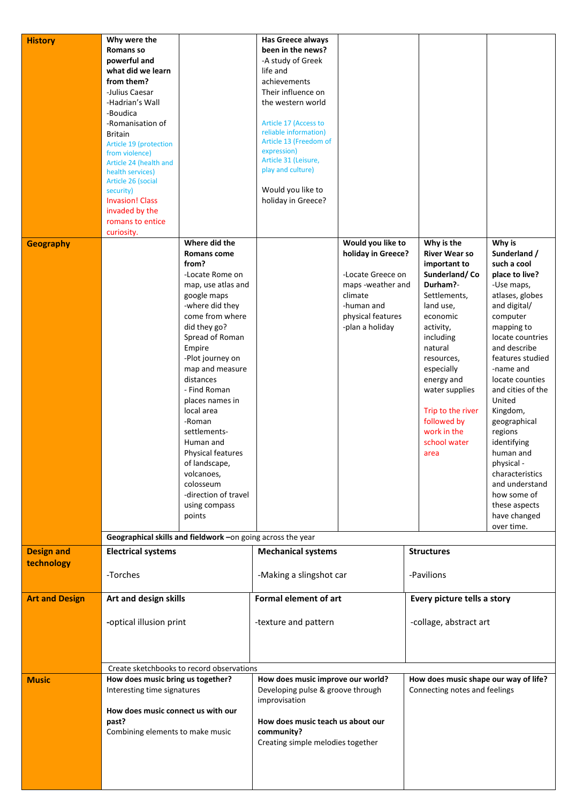| <b>History</b>        | Why were the                                                                                                   |                                     | <b>Has Greece always</b>                                                                              |                                         |                                       |                                 |  |
|-----------------------|----------------------------------------------------------------------------------------------------------------|-------------------------------------|-------------------------------------------------------------------------------------------------------|-----------------------------------------|---------------------------------------|---------------------------------|--|
|                       | <b>Romans so</b>                                                                                               |                                     | been in the news?                                                                                     |                                         |                                       |                                 |  |
|                       | powerful and<br>what did we learn                                                                              |                                     | -A study of Greek<br>life and                                                                         |                                         |                                       |                                 |  |
|                       | from them?                                                                                                     |                                     | achievements                                                                                          |                                         |                                       |                                 |  |
|                       | -Julius Caesar                                                                                                 |                                     | Their influence on                                                                                    |                                         |                                       |                                 |  |
|                       | -Hadrian's Wall                                                                                                |                                     | the western world                                                                                     |                                         |                                       |                                 |  |
|                       | -Boudica                                                                                                       |                                     |                                                                                                       |                                         |                                       |                                 |  |
|                       | -Romanisation of                                                                                               |                                     | Article 17 (Access to<br>reliable information)                                                        |                                         |                                       |                                 |  |
|                       | <b>Britain</b>                                                                                                 |                                     | Article 13 (Freedom of                                                                                |                                         |                                       |                                 |  |
|                       | Article 19 (protection<br>from violence)                                                                       |                                     | expression)                                                                                           |                                         |                                       |                                 |  |
|                       | Article 24 (health and                                                                                         |                                     | Article 31 (Leisure,                                                                                  |                                         |                                       |                                 |  |
|                       | health services)                                                                                               |                                     | play and culture)                                                                                     |                                         |                                       |                                 |  |
|                       | Article 26 (social<br>security)                                                                                |                                     | Would you like to                                                                                     |                                         |                                       |                                 |  |
|                       | <b>Invasion! Class</b>                                                                                         |                                     | holiday in Greece?                                                                                    |                                         |                                       |                                 |  |
|                       | invaded by the                                                                                                 |                                     |                                                                                                       |                                         |                                       |                                 |  |
|                       | romans to entice                                                                                               |                                     |                                                                                                       |                                         |                                       |                                 |  |
|                       | curiosity.                                                                                                     | Where did the                       |                                                                                                       |                                         |                                       |                                 |  |
| <b>Geography</b>      |                                                                                                                | <b>Romans come</b>                  |                                                                                                       | Would you like to<br>holiday in Greece? | Why is the<br><b>River Wear so</b>    | Why is<br>Sunderland /          |  |
|                       |                                                                                                                | from?                               |                                                                                                       |                                         | important to                          | such a cool                     |  |
|                       |                                                                                                                | -Locate Rome on                     |                                                                                                       | -Locate Greece on                       | Sunderland/Co                         | place to live?                  |  |
|                       |                                                                                                                | map, use atlas and                  | maps -weather and                                                                                     |                                         | Durham?-<br>-Use maps,                |                                 |  |
|                       |                                                                                                                | google maps<br>-where did they      |                                                                                                       | climate<br>-human and                   | Settlements,<br>land use,             | atlases, globes<br>and digital/ |  |
|                       |                                                                                                                | come from where                     |                                                                                                       | physical features                       | economic                              | computer                        |  |
|                       |                                                                                                                | did they go?                        |                                                                                                       | -plan a holiday                         | activity,                             | mapping to                      |  |
|                       |                                                                                                                | Spread of Roman                     |                                                                                                       |                                         | including                             | locate countries                |  |
|                       |                                                                                                                | Empire                              |                                                                                                       |                                         | natural                               | and describe                    |  |
|                       |                                                                                                                | -Plot journey on<br>map and measure |                                                                                                       |                                         | resources,                            | features studied<br>-name and   |  |
|                       |                                                                                                                | distances                           |                                                                                                       |                                         | especially<br>energy and              | locate counties                 |  |
|                       |                                                                                                                | - Find Roman                        |                                                                                                       |                                         | water supplies                        | and cities of the               |  |
|                       |                                                                                                                | places names in                     |                                                                                                       |                                         |                                       | United                          |  |
|                       |                                                                                                                | local area                          |                                                                                                       |                                         | Trip to the river                     | Kingdom,                        |  |
|                       |                                                                                                                | -Roman                              |                                                                                                       |                                         | followed by                           | geographical                    |  |
|                       |                                                                                                                | settlements-<br>Human and           |                                                                                                       |                                         | work in the<br>school water           | regions<br>identifying          |  |
|                       |                                                                                                                | Physical features                   |                                                                                                       |                                         | area                                  | human and                       |  |
|                       |                                                                                                                | of landscape,                       |                                                                                                       |                                         |                                       | physical -                      |  |
|                       |                                                                                                                | volcanoes,                          |                                                                                                       |                                         |                                       | characteristics                 |  |
|                       |                                                                                                                | colosseum                           |                                                                                                       |                                         |                                       | and understand                  |  |
|                       |                                                                                                                | -direction of travel                |                                                                                                       |                                         |                                       | how some of                     |  |
|                       |                                                                                                                | using compass<br>points             |                                                                                                       |                                         |                                       | these aspects<br>have changed   |  |
|                       |                                                                                                                |                                     |                                                                                                       |                                         |                                       | over time.                      |  |
|                       | Geographical skills and fieldwork -on going across the year                                                    |                                     |                                                                                                       |                                         |                                       |                                 |  |
| <b>Design and</b>     | <b>Electrical systems</b>                                                                                      |                                     | <b>Mechanical systems</b>                                                                             |                                         | <b>Structures</b>                     |                                 |  |
| technology            |                                                                                                                |                                     |                                                                                                       |                                         |                                       |                                 |  |
|                       | -Torches                                                                                                       |                                     | -Making a slingshot car                                                                               |                                         | -Pavilions                            |                                 |  |
| <b>Art and Design</b> | Art and design skills                                                                                          |                                     | <b>Formal element of art</b>                                                                          |                                         | Every picture tells a story           |                                 |  |
|                       |                                                                                                                |                                     |                                                                                                       |                                         | -collage, abstract art                |                                 |  |
|                       | -optical illusion print                                                                                        |                                     | -texture and pattern                                                                                  |                                         |                                       |                                 |  |
|                       |                                                                                                                |                                     |                                                                                                       |                                         |                                       |                                 |  |
|                       | Create sketchbooks to record observations                                                                      |                                     |                                                                                                       |                                         |                                       |                                 |  |
|                       |                                                                                                                |                                     |                                                                                                       |                                         |                                       |                                 |  |
| <b>Music</b>          | How does music bring us together?                                                                              |                                     | How does music improve our world?                                                                     |                                         | How does music shape our way of life? |                                 |  |
|                       | Interesting time signatures<br>How does music connect us with our<br>past?<br>Combining elements to make music |                                     | Developing pulse & groove through                                                                     |                                         | Connecting notes and feelings         |                                 |  |
|                       |                                                                                                                |                                     | improvisation<br>How does music teach us about our<br>community?<br>Creating simple melodies together |                                         |                                       |                                 |  |
|                       |                                                                                                                |                                     |                                                                                                       |                                         |                                       |                                 |  |
|                       |                                                                                                                |                                     |                                                                                                       |                                         |                                       |                                 |  |
|                       |                                                                                                                |                                     |                                                                                                       |                                         |                                       |                                 |  |
|                       |                                                                                                                |                                     |                                                                                                       |                                         |                                       |                                 |  |
|                       |                                                                                                                |                                     |                                                                                                       |                                         |                                       |                                 |  |
|                       |                                                                                                                |                                     |                                                                                                       |                                         |                                       |                                 |  |